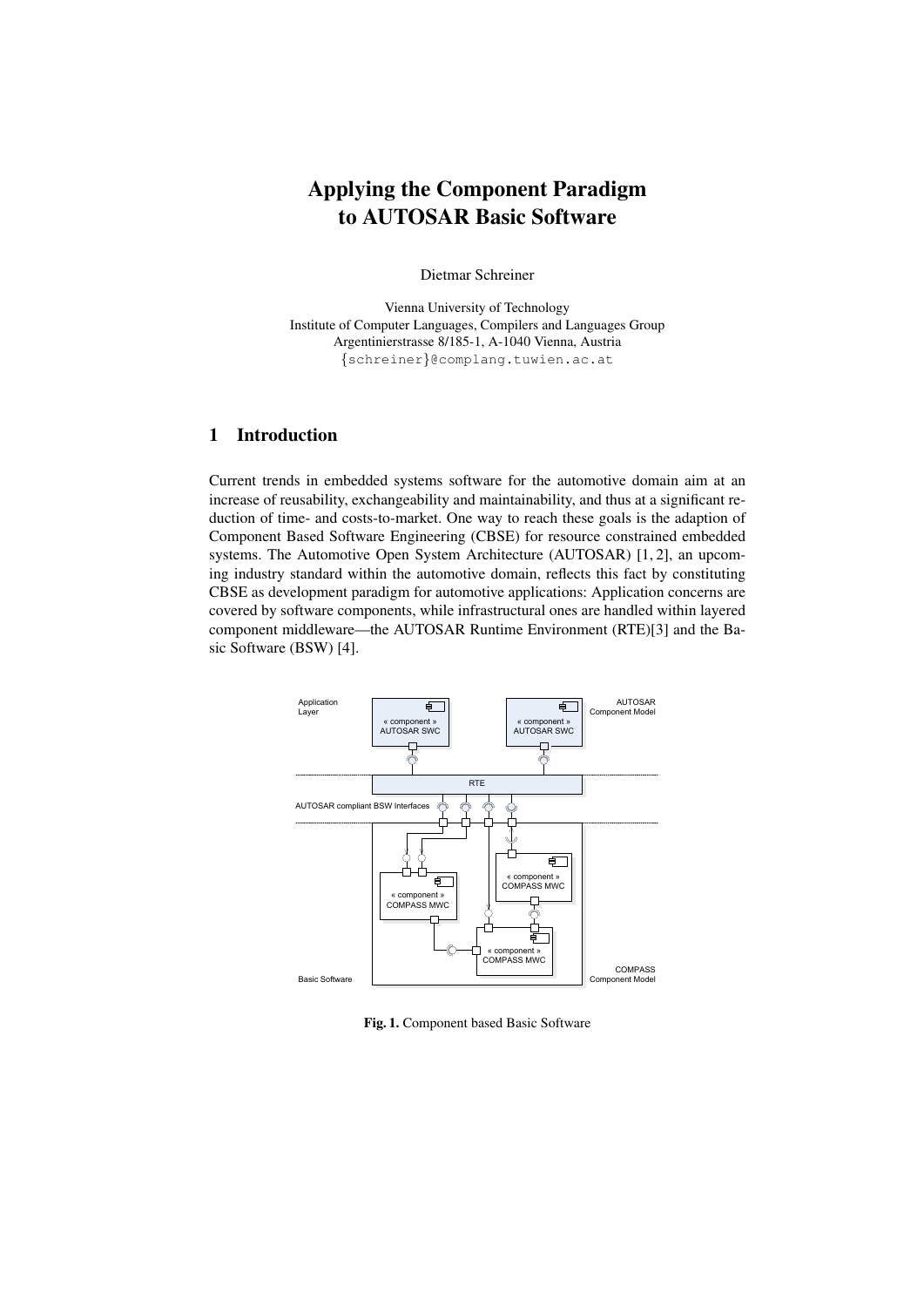# Applying the Component Paradigm to AUTOSAR Basic Software

Dietmar Schreiner

Vienna University of Technology Institute of Computer Languages, Compilers and Languages Group Argentinierstrasse 8/185-1, A-1040 Vienna, Austria {schreiner}@complang.tuwien.ac.at

## 1 Introduction

Current trends in embedded systems software for the automotive domain aim at an increase of reusability, exchangeability and maintainability, and thus at a significant reduction of time- and costs-to-market. One way to reach these goals is the adaption of Component Based Software Engineering (CBSE) for resource constrained embedded systems. The Automotive Open System Architecture (AUTOSAR) [1, 2], an upcoming industry standard within the automotive domain, reflects this fact by constituting CBSE as development paradigm for automotive applications: Application concerns are covered by software components, while infrastructural ones are handled within layered component middleware—the AUTOSAR Runtime Environment (RTE)[3] and the Basic Software (BSW) [4].



Fig. 1. Component based Basic Software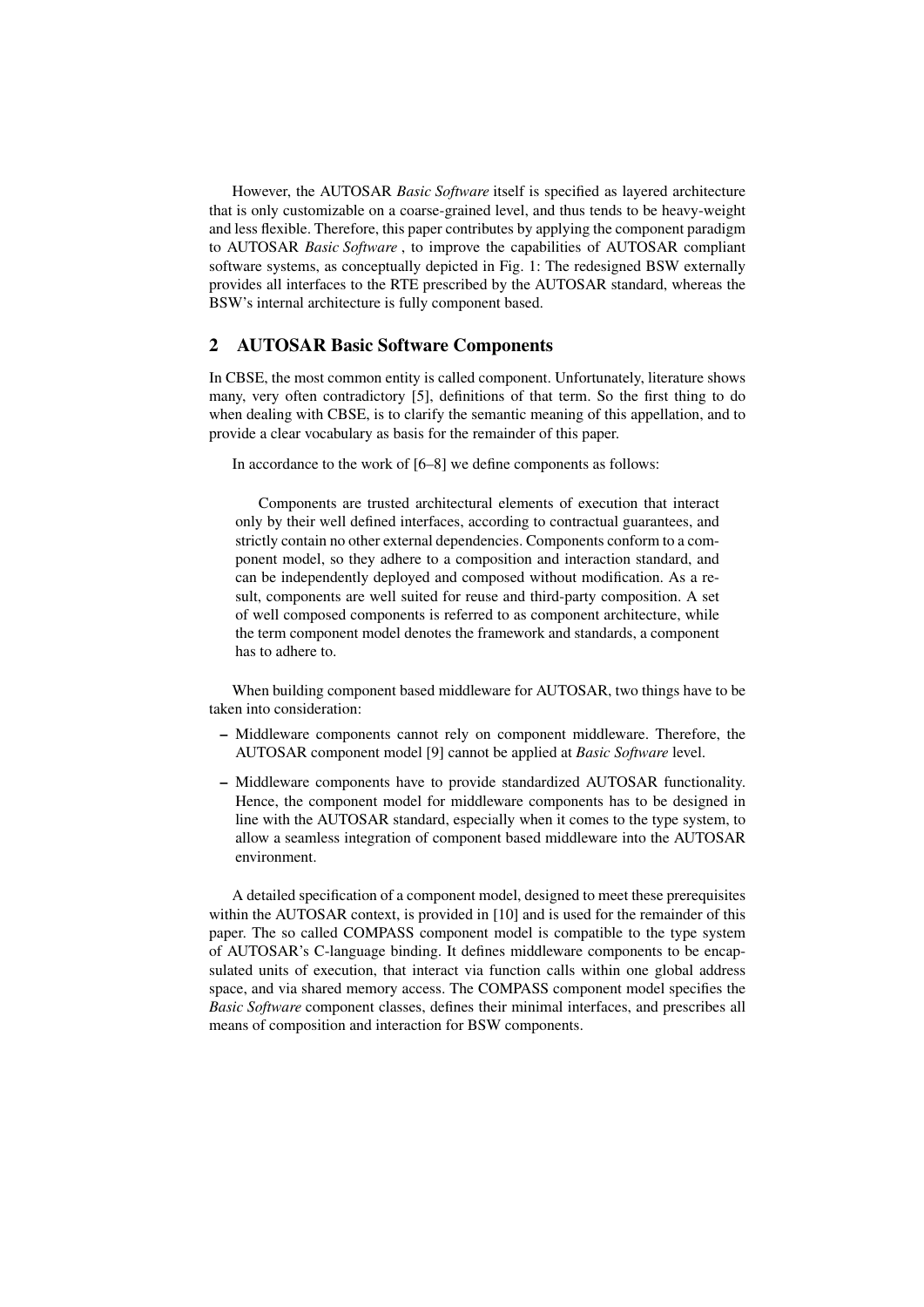However, the AUTOSAR *Basic Software* itself is specified as layered architecture that is only customizable on a coarse-grained level, and thus tends to be heavy-weight and less flexible. Therefore, this paper contributes by applying the component paradigm to AUTOSAR *Basic Software* , to improve the capabilities of AUTOSAR compliant software systems, as conceptually depicted in Fig. 1: The redesigned BSW externally provides all interfaces to the RTE prescribed by the AUTOSAR standard, whereas the BSW's internal architecture is fully component based.

## 2 AUTOSAR Basic Software Components

In CBSE, the most common entity is called component. Unfortunately, literature shows many, very often contradictory [5], definitions of that term. So the first thing to do when dealing with CBSE, is to clarify the semantic meaning of this appellation, and to provide a clear vocabulary as basis for the remainder of this paper.

In accordance to the work of [6–8] we define components as follows:

Components are trusted architectural elements of execution that interact only by their well defined interfaces, according to contractual guarantees, and strictly contain no other external dependencies. Components conform to a component model, so they adhere to a composition and interaction standard, and can be independently deployed and composed without modification. As a result, components are well suited for reuse and third-party composition. A set of well composed components is referred to as component architecture, while the term component model denotes the framework and standards, a component has to adhere to.

When building component based middleware for AUTOSAR, two things have to be taken into consideration:

- Middleware components cannot rely on component middleware. Therefore, the AUTOSAR component model [9] cannot be applied at *Basic Software* level.
- Middleware components have to provide standardized AUTOSAR functionality. Hence, the component model for middleware components has to be designed in line with the AUTOSAR standard, especially when it comes to the type system, to allow a seamless integration of component based middleware into the AUTOSAR environment.

A detailed specification of a component model, designed to meet these prerequisites within the AUTOSAR context, is provided in [10] and is used for the remainder of this paper. The so called COMPASS component model is compatible to the type system of AUTOSAR's C-language binding. It defines middleware components to be encapsulated units of execution, that interact via function calls within one global address space, and via shared memory access. The COMPASS component model specifies the *Basic Software* component classes, defines their minimal interfaces, and prescribes all means of composition and interaction for BSW components.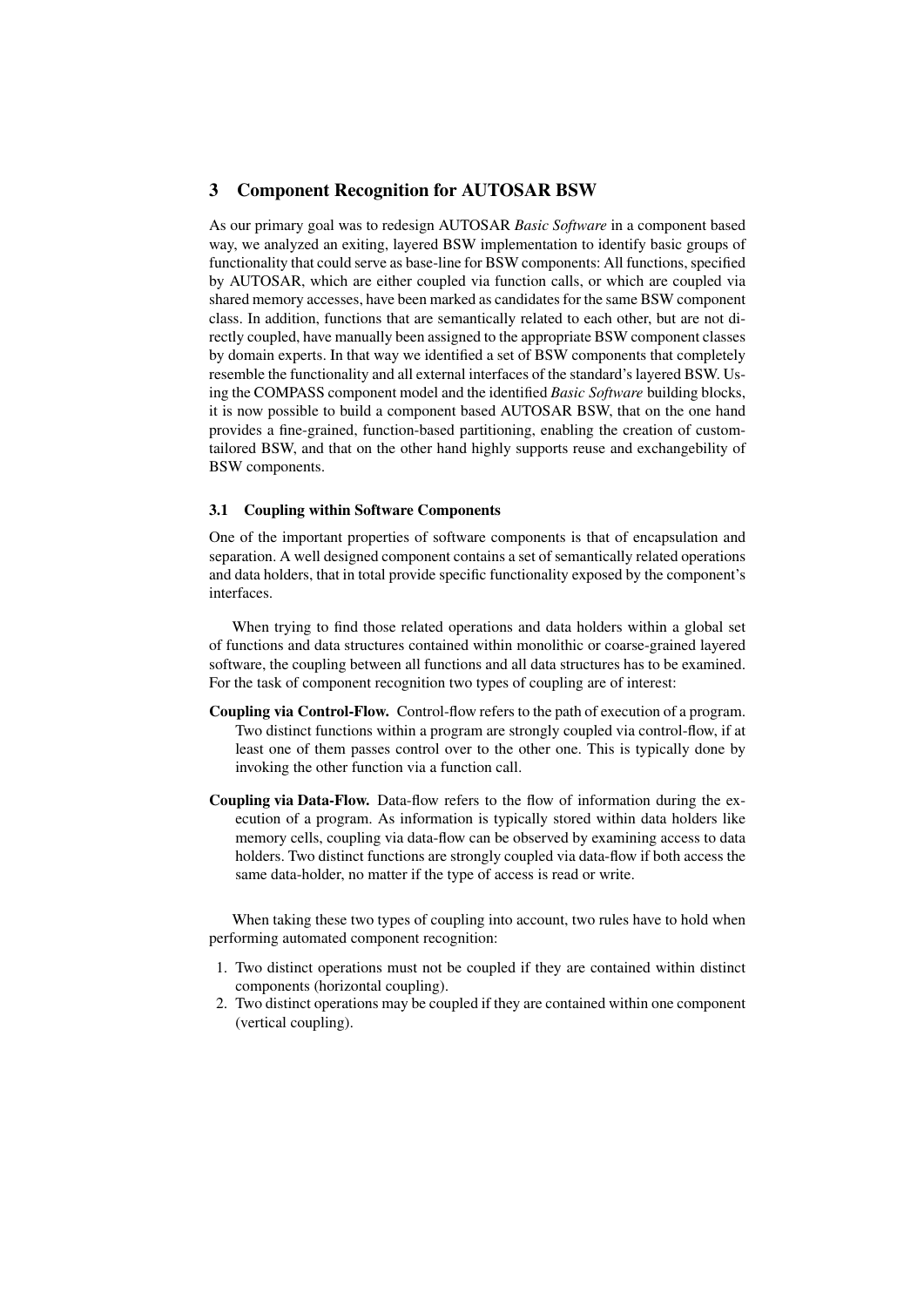## 3 Component Recognition for AUTOSAR BSW

As our primary goal was to redesign AUTOSAR *Basic Software* in a component based way, we analyzed an exiting, layered BSW implementation to identify basic groups of functionality that could serve as base-line for BSW components: All functions, specified by AUTOSAR, which are either coupled via function calls, or which are coupled via shared memory accesses, have been marked as candidates for the same BSW component class. In addition, functions that are semantically related to each other, but are not directly coupled, have manually been assigned to the appropriate BSW component classes by domain experts. In that way we identified a set of BSW components that completely resemble the functionality and all external interfaces of the standard's layered BSW. Using the COMPASS component model and the identified *Basic Software* building blocks, it is now possible to build a component based AUTOSAR BSW, that on the one hand provides a fine-grained, function-based partitioning, enabling the creation of customtailored BSW, and that on the other hand highly supports reuse and exchangebility of BSW components.

#### 3.1 Coupling within Software Components

One of the important properties of software components is that of encapsulation and separation. A well designed component contains a set of semantically related operations and data holders, that in total provide specific functionality exposed by the component's interfaces.

When trying to find those related operations and data holders within a global set of functions and data structures contained within monolithic or coarse-grained layered software, the coupling between all functions and all data structures has to be examined. For the task of component recognition two types of coupling are of interest:

- Coupling via Control-Flow. Control-flow refers to the path of execution of a program. Two distinct functions within a program are strongly coupled via control-flow, if at least one of them passes control over to the other one. This is typically done by invoking the other function via a function call.
- Coupling via Data-Flow. Data-flow refers to the flow of information during the execution of a program. As information is typically stored within data holders like memory cells, coupling via data-flow can be observed by examining access to data holders. Two distinct functions are strongly coupled via data-flow if both access the same data-holder, no matter if the type of access is read or write.

When taking these two types of coupling into account, two rules have to hold when performing automated component recognition:

- 1. Two distinct operations must not be coupled if they are contained within distinct components (horizontal coupling).
- 2. Two distinct operations may be coupled if they are contained within one component (vertical coupling).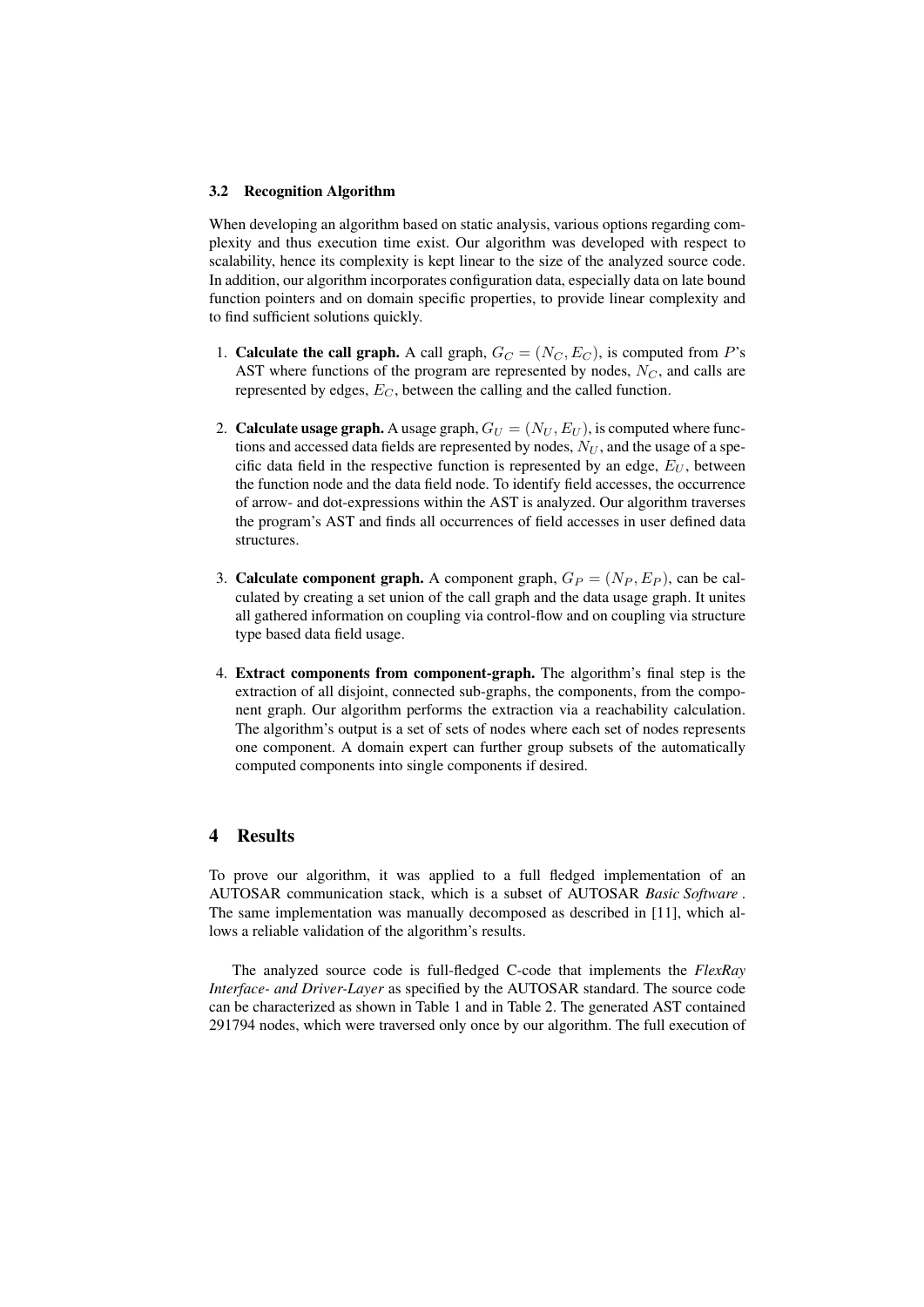#### 3.2 Recognition Algorithm

When developing an algorithm based on static analysis, various options regarding complexity and thus execution time exist. Our algorithm was developed with respect to scalability, hence its complexity is kept linear to the size of the analyzed source code. In addition, our algorithm incorporates configuration data, especially data on late bound function pointers and on domain specific properties, to provide linear complexity and to find sufficient solutions quickly.

- 1. Calculate the call graph. A call graph,  $G_C = (N_C, E_C)$ , is computed from P's AST where functions of the program are represented by nodes,  $N_C$ , and calls are represented by edges,  $E_C$ , between the calling and the called function.
- 2. **Calculate usage graph.** A usage graph,  $G_U = (N_U, E_U)$ , is computed where functions and accessed data fields are represented by nodes,  $N_U$ , and the usage of a specific data field in the respective function is represented by an edge,  $E_U$ , between the function node and the data field node. To identify field accesses, the occurrence of arrow- and dot-expressions within the AST is analyzed. Our algorithm traverses the program's AST and finds all occurrences of field accesses in user defined data structures.
- 3. Calculate component graph. A component graph,  $G_P = (N_P, E_P)$ , can be calculated by creating a set union of the call graph and the data usage graph. It unites all gathered information on coupling via control-flow and on coupling via structure type based data field usage.
- 4. Extract components from component-graph. The algorithm's final step is the extraction of all disjoint, connected sub-graphs, the components, from the component graph. Our algorithm performs the extraction via a reachability calculation. The algorithm's output is a set of sets of nodes where each set of nodes represents one component. A domain expert can further group subsets of the automatically computed components into single components if desired.

## 4 Results

To prove our algorithm, it was applied to a full fledged implementation of an AUTOSAR communication stack, which is a subset of AUTOSAR *Basic Software* . The same implementation was manually decomposed as described in [11], which allows a reliable validation of the algorithm's results.

The analyzed source code is full-fledged C-code that implements the *FlexRay Interface- and Driver-Layer* as specified by the AUTOSAR standard. The source code can be characterized as shown in Table 1 and in Table 2. The generated AST contained 291794 nodes, which were traversed only once by our algorithm. The full execution of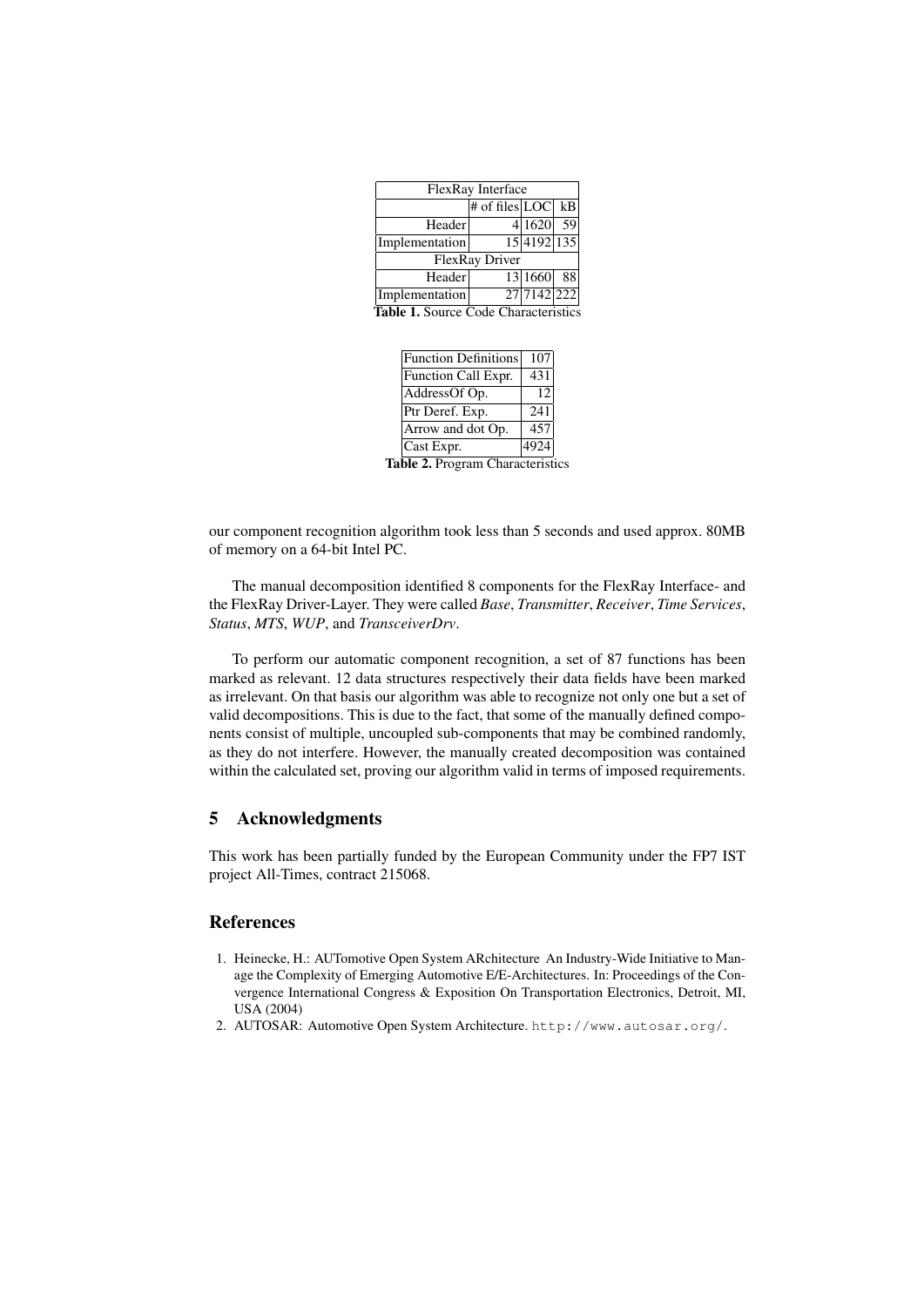| FlexRay Interface |                       |             |      |  |
|-------------------|-----------------------|-------------|------|--|
|                   | # of files $ LOC $ kB |             |      |  |
| Header            |                       | 4 1620      | 59   |  |
| Implementation    |                       | 15 4192 135 |      |  |
| FlexRay Driver    |                       |             |      |  |
| Header            |                       | 13 1660     | - 88 |  |
| Implementation    |                       | 27 7142 222 |      |  |

Table 1. Source Code Characteristics

| <b>Function Definitions</b> | 107  |
|-----------------------------|------|
| Function Call Expr.         | 431  |
| AddressOf Op.               | 12   |
| Ptr Deref. Exp.             | 241  |
| Arrow and dot Op.           | 457  |
| Cast Expr.                  | 4924 |
|                             |      |

Table 2. Program Characteristics

our component recognition algorithm took less than 5 seconds and used approx. 80MB of memory on a 64-bit Intel PC.

The manual decomposition identified 8 components for the FlexRay Interface- and the FlexRay Driver-Layer. They were called *Base*, *Transmitter*, *Receiver*, *Time Services*, *Status*, *MTS*, *WUP*, and *TransceiverDrv*.

To perform our automatic component recognition, a set of 87 functions has been marked as relevant. 12 data structures respectively their data fields have been marked as irrelevant. On that basis our algorithm was able to recognize not only one but a set of valid decompositions. This is due to the fact, that some of the manually defined components consist of multiple, uncoupled sub-components that may be combined randomly, as they do not interfere. However, the manually created decomposition was contained within the calculated set, proving our algorithm valid in terms of imposed requirements.

## 5 Acknowledgments

This work has been partially funded by the European Community under the FP7 IST project All-Times, contract 215068.

## References

- 1. Heinecke, H.: AUTomotive Open System ARchitecture An Industry-Wide Initiative to Manage the Complexity of Emerging Automotive E/E-Architectures. In: Proceedings of the Convergence International Congress & Exposition On Transportation Electronics, Detroit, MI, USA (2004)
- 2. AUTOSAR: Automotive Open System Architecture. http://www.autosar.org/.